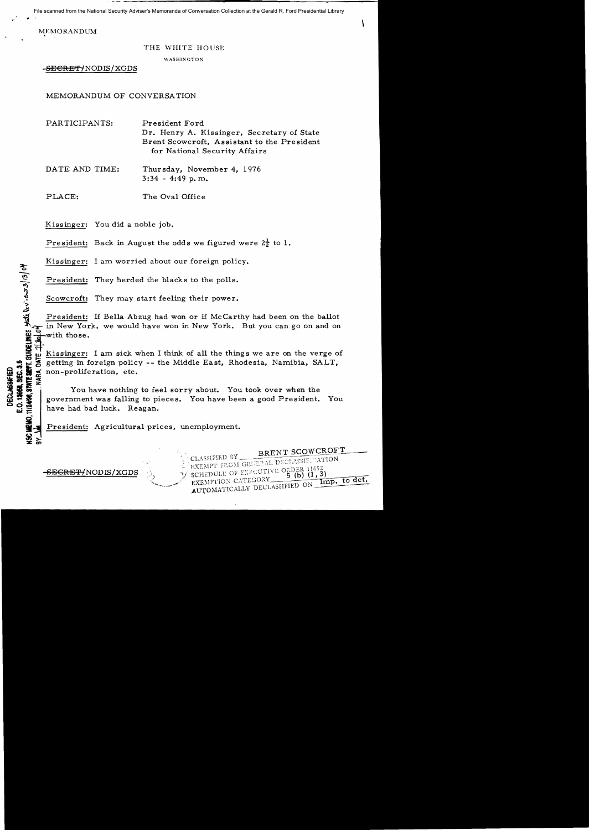File scanned from the National Security Adviser's Memoranda of Conversation Collection at the Gerald R. Ford Presidential Library

**MEMORANDUM** 

## THE WHITE HOUSE

WASHINGTON

-SECRET/NODIS/XGDS

MEMORANDUM OF CONVERSATION

PARTICIPANTS: President Ford Dr. Henry A. Kissinger, Secretary of State Brent Scowcroft, Assistant to the President for National Security Affairs

DATE AND TIME: Thursday, November 4, 1976 3:34 - 4:49 p. m.

PLACE: The Oval Office

Kissinger: You did a noble job.

President: Back in August the odds we figured were  $2\frac{1}{2}$  to 1.

Kissinger: I am worried about our foreign policy.

President: They herded the blacks to the polls.

Scowcroft: They herded the blacks to the polls.<br>
Scowcroft: They may start feeling their power.<br>
Scowcroft: They may start feeling their power.<br>
The in New York, we would have won in New York.<br>
The with those.<br>
The Windows President: If Bella Abzug had won or if McCarthy had been on the ballot in New York, we would have won in New York. But you can go on and on with those.

Kissinger: I am sick when I think of all the things we are on the verge of  $\frac{1}{5}$  at  $\frac{1}{5}$  at  $\frac{1}{5}$  at  $\frac{1}{5}$  at  $\frac{1}{5}$  and  $\frac{1}{5}$  and  $\frac{1}{5}$  and  $\frac{1}{5}$  and  $\frac{1}{5}$  and  $\frac{1}{5}$  and  $\frac{1}{5}$  a

:: So getting in foreign policy -- the Middle East, Rhodesia, Namibia, SALT,<br>
So get non-proliferation, etc.<br>
So gives the set of the sorry about. You took over when the<br>
government was falling to pieces. You have been a g i g II ~ non-proliferation, etc. You have nothing to feel sorry about. You took over when the government was falling to pieces. You have been a good President. You have had bad luck. Reagan.

> . ..'

CLASSIFIED BY BRENT SCOWCROFT

EXEMPTION CATEGORY CHANNEL ON

President: Agricultural prices, unemployment. r' CLASSIfIED nY --".~T' C'~ H'ATION : . l~"n'l ('1'",.. ..,;\; D~~l'i,,,.h[- . :,.: EXE:\IPf ,',.v.\ :; J"~'" .~ T' 1(:"7 .,-, ""~'V" O·<sup>n</sup>

 $\frac{\text{SEERE} \cdot \text{NODIS/XGDS}}{\text{SEH} \cdot \text{S} \cdot \text{S}}$   $\frac{\text{E}\times \text{EMT} \cdot \text{ROM}}{\text{E}\times \text{EMPTION CATEQON}}$   $\frac{\text{G}\times \text{DER} \cdot \text{R1652}}{\text{E}\times \text{EMPTION CATEQON}}$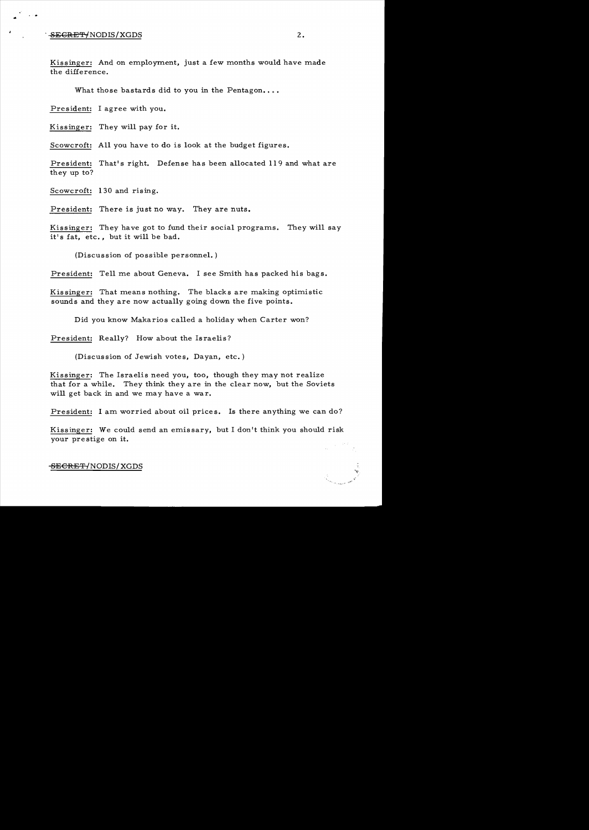## $-$ <del>SECRET/</del>NODIS/XGDS 2.

..

Kissinger: And on employment, just a few months would have made the difference.

What those bastards did to you in the Pentagon....

President: I agree with you.

Kissinger: They will pay for it.

Scowcroft: All you have to do is look at the budget figures.

President: That's right. Defense has been allocated 119 and what are they up to?

Scowcroft: 130 and rising.

President: There is just no way. They are nuts.

Kissinger: They have got to fund their social programs. They will say it's fat, etc., but it will be bad.

(Discussion of possible personnel. )

President: Tell me about Geneva. I see Smith has packed his bags.

Kissinger: That means nothing. The blacks are making optimistic sounds and they are now actually going down the five points.

Did you know Makarios called a holiday when Carter won?

President: Really? How about the Israelis?

(Discussion of Jewish votes, Dayan, etc.)

Kissinger: The Israelis need you, too, though they may not realize that for a while. They think they are in the clear now, but the Soviets will get back in and we may have a war.

President: I am worried about oil prices. Is there anything we can do?

Kissinger: We could send an emissary, but I don't think you should risk your prestige on it.

<del>SECRET/</del>NODIS/XGDS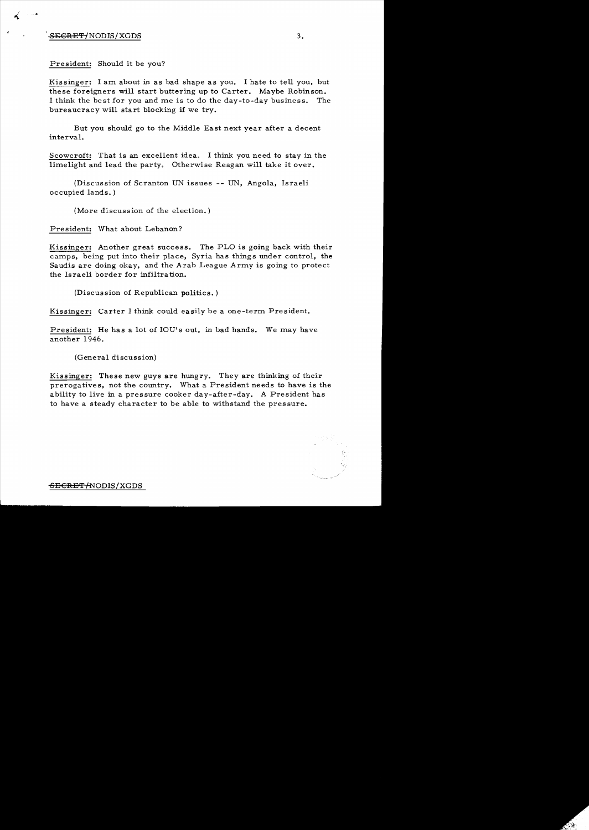## $SEGREF/NODIS/XGDS$  3.

President: Should it be you?

Kis singer: I am. about in as bad shape as you. I hate to tell you, but these foreigners will start buttering up to Carter. Maybe Robinson. I think the best for you and me is to do the day-to-day business. The bureaucracy will start blocking if we try.

But you should go to the Middle East next year after a decent interval.

Scowcroft: That is an excellent idea. I think you need to stay in the limelight and lead the party. Otherwise Reagan will take it over.

(Discussion of Scranton UN issues -- UN, Angola, Israeli occupied lands. )

(More discussion of the election.)

President: What about Lebanon?

Kissinger: Another great success. The PLO is going back with their camps, being put into their place, Syria has things under control, the Saudis are doing okay, and the Arab League Army is going to protect the Israeli border for infiltration.

(Discussion of Republican politics. )

Kissinger: Carter I think could easily be a one-term President.

President: He has a lot of IOU's out, in bad hands. We may have another  $1946.$ 

(General discussion)

Kissinger: These new guys are hungry. They are thinking of their prerogatives, not the country. What a President needs to have is the ability to live in a pressure cooker day-after-day. A President has to have a steady character to be able to withstand the pressure.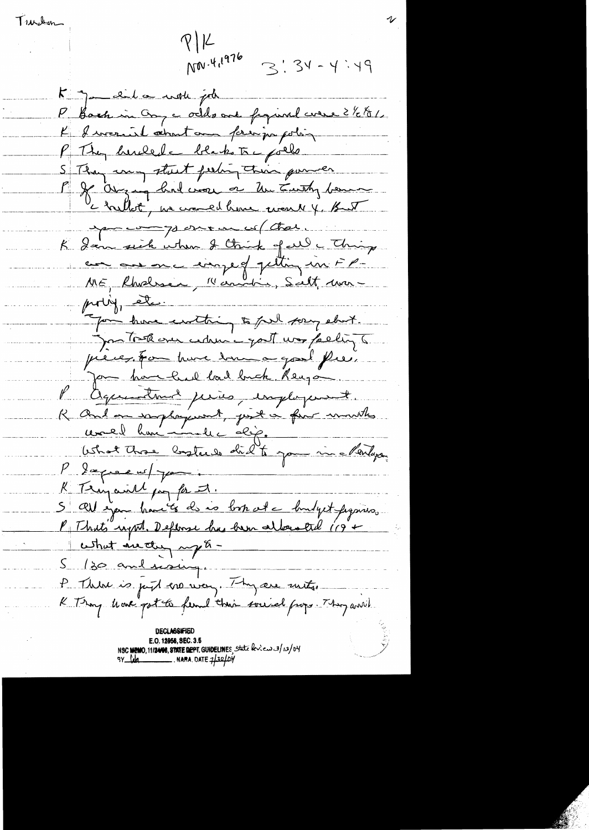Turken

 $P|K$ NOV.4,1976  $3!34-4:49$ K jamaila work job P Back in Onge odds one figural were ? 1/2 1/2 K I were it about an principa polin P They here el - blacks To gollo S They arry start feeling their power May any had wear or the Turky bene c hellot, we would have work 4. But you component of that. K Sain sick when I think of all a Thing eux aux me compet petting un FPproblementaring You have enthing to full pory eluit. Jan Took over cedering out was falling to pieces, for have toma good free. Jam har hul bad bick Reuga l'agueration peries, imployement. R And an implayment, just a four innths <u>revoud huniminale dip.</u> Ushot Those Constants did to you in Meridage. l'expression. K Temparill pay for I. 5 All you haven't de no born at a budyet proposes.<br>P That's right, Deplore has been allowed 119 + cethat du cluj mp 8 -5 130 and rainy. P Thêre is just ens vous. Thy are suits

E.O. 12958, SEC. 3.5 NSC MEMO, 11/2408, STATE DEPT. GUIDELINES, State leview 3/13/04<br>9Y (14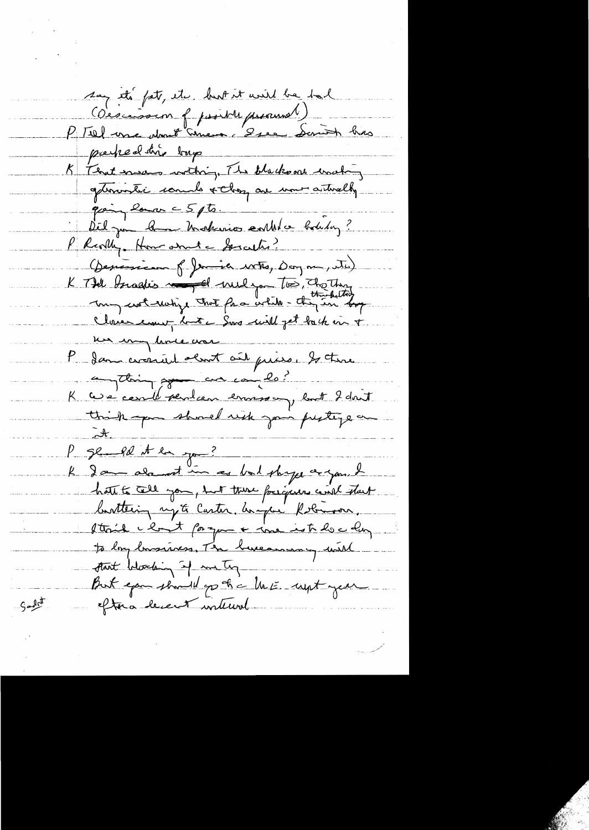say et pet, etc. bust et avis be tal partied dire bup K Flat move withing The blacksons washing gérinative comme rolling au mour autrelly going lance 5 pts. Délga ban Makinio catholic botiling? P Revilly. How and a Society? (Desirieux f) Jamie 18th, Doyne, Nu) K Till Israelis man de mel you too Trather Close court but a Sure will get back in + un un lime une 1 Jan crossiel about ail prise, Is there augthing go an complete K case certification envison, but 2 dont think you should risk join perting on P ge pe et la jou ? le dans alanest in ces but shape a you. I hate to tell you, but there foregares with start bottening syste Caster, home Robinson, Itail clout forque a ine interestion to long bassiness, Mr bureaumon with thant betweening of me ty But you should go to a link with your Sabit eftera decent internal